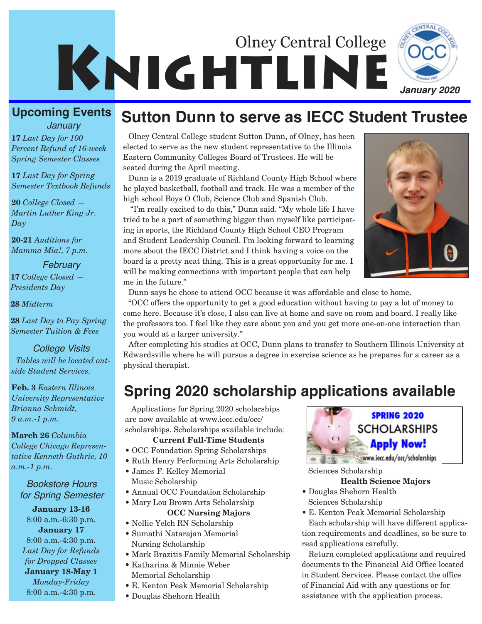

### **Upcoming Events**

**17** *Last Day for 100 Percent Refund of 16-week Spring Semester Classes January*

**17** *Last Day for Spring Semester Textbook Refunds*

**20** *College Closed — Martin Luther King Jr. Day*

**20-21** *Auditions for Mamma Mia!, 7 p.m.* 

### *February*

**17** *College Closed — Presidents Day*

**28** *Midterm*

**28** *Last Day to Pay Spring Semester Tuition & Fees*

*College Visits*

*Tables will be located outside Student Services.* 

**Feb. 3** *Eastern Illinois University Representative Brianna Schmidt, 9 a.m.-1 p.m.*

**March 26** *Columbia College Chicago Representative Kenneth Guthrie, 10 a.m.-1 p.m.*

*Bookstore Hours for Spring Semester*

**January 13-16** 8:00 a.m.-6:30 p.m. **January 17** 8:00 a.m.-4:30 p.m. *Last Day for Refunds for Dropped Classes* **January 18-May 1**  *Monday-Friday* 8:00 a.m.-4:30 p.m.

## **Sutton Dunn to serve as IECC Student Trustee**

Olney Central College student Sutton Dunn, of Olney, has been elected to serve as the new student representative to the Illinois Eastern Community Colleges Board of Trustees. He will be seated during the April meeting.

Dunn is a 2019 graduate of Richland County High School where he played basketball, football and track. He was a member of the high school Boys O Club, Science Club and Spanish Club.

"I'm really excited to do this," Dunn said. "My whole life I have tried to be a part of something bigger than myself like participating in sports, the Richland County High School CEO Program and Student Leadership Council. I'm looking forward to learning more about the IECC District and I think having a voice on the board is a pretty neat thing. This is a great opportunity for me. I will be making connections with important people that can help me in the future."



Dunn says he chose to attend OCC because it was affordable and close to home.

"OCC offers the opportunity to get a good education without having to pay a lot of money to come here. Because it's close, I also can live at home and save on room and board. I really like the professors too. I feel like they care about you and you get more one-on-one interaction than you would at a larger university."

After completing his studies at OCC, Dunn plans to transfer to Southern Illinois University at Edwardsville where he will pursue a degree in exercise science as he prepares for a career as a physical therapist.

## **Spring 2020 scholarship applications available**

Applications for Spring 2020 scholarships are now available at www.iecc.edu/occ/ scholarships. Scholarships available include:

### **Current Full-Time Students**

- OCC Foundation Spring Scholarships
- Ruth Henry Performing Arts Scholarship
- James F. Kelley Memorial Music Scholarship
- Annual OCC Foundation Scholarship
- Mary Lou Brown Arts Scholarship

### **OCC Nursing Majors**

- Nellie Yelch RN Scholarship
- Sumathi Natarajan Memorial Nursing Scholarship
- Mark Brazitis Family Memorial Scholarship
- Katharina & Minnie Weber Memorial Scholarship
- E. Kenton Peak Memorial Scholarship
- Douglas Shehorn Health



Sciences Scholarship

### **Health Science Majors**

- Douglas Shehorn Health Sciences Scholarship
- E. Kenton Peak Memorial Scholarship Each scholarship will have different applica-

tion requirements and deadlines, so be sure to read applications carefully.

Return completed applications and required documents to the Financial Aid Office located in Student Services. Please contact the office of Financial Aid with any questions or for assistance with the application process.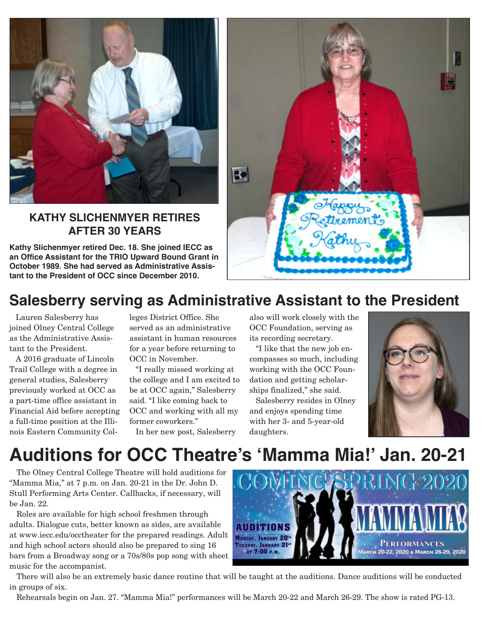

### **KATHY SLICHENMYER RETIRES AFTER 30 YEARS**

**Kathy Slichenmyer retired Dec. 18. She joined IECC as an Office Assistant for the TRIO Upward Bound Grant in October 1989. She had served as Administrative Assistant to the President of OCC since December 2010.** 



## **Salesberry serving as Administrative Assistant to the President**

Lauren Salesberry has joined Olney Central College as the Administrative Assistant to the President.

A 2016 graduate of Lincoln Trail College with a degree in general studies, Salesberry previously worked at OCC as a part-time office assistant in Financial Aid before accepting a full-time position at the Illinois Eastern Community Colleges District Office. She served as an administrative assistant in human resources for a year before returning to OCC in November.

"I really missed working at the college and I am excited to be at OCC again," Salesberry said. "I like coming back to OCC and working with all my former coworkers."

In her new post, Salesberry

also will work closely with the OCC Foundation, serving as its recording secretary.

"I like that the new job encompasses so much, including working with the OCC Foundation and getting scholarships finalized," she said.

Salesberry resides in Olney and enjoys spending time with her 3- and 5-year-old daughters.



# **Auditions for OCC Theatre's 'Mamma Mia!' Jan. 20-21**

The Olney Central College Theatre will hold auditions for "Mamma Mia," at 7 p.m. on Jan. 20-21 in the Dr. John D. Stull Performing Arts Center. Callbacks, if necessary, will be Jan. 22.

Roles are available for high school freshmen through adults. Dialogue cuts, better known as sides, are available at www.iecc.edu/occtheater for the prepared readings. Adult and high school actors should also be prepared to sing 16 bars from a Broadway song or a 70s/80s pop song with sheet music for the accompanist.



There will also be an extremely basic dance routine that will be taught at the auditions. Dance auditions will be conducted in groups of six.

Rehearsals begin on Jan. 27. "Mamma Mia!" performances will be March 20-22 and March 26-29. The show is rated PG-13.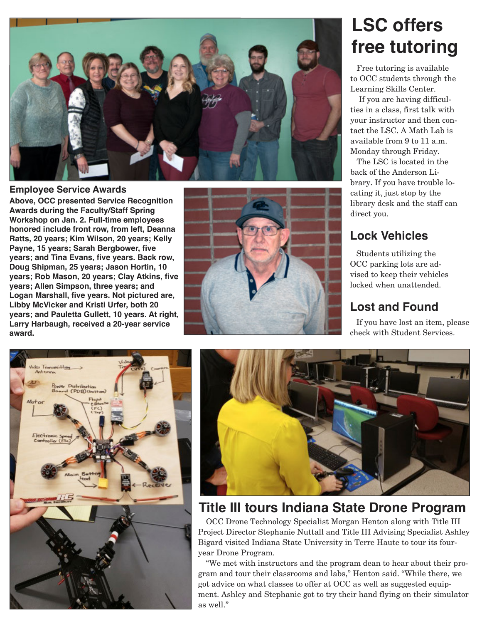

### **Employee Service Awards**

**Above, OCC presented Service Recognition Awards during the Faculty/Staff Spring Workshop on Jan. 2. Full-time employees honored include front row, from left, Deanna Ratts, 20 years; Kim Wilson, 20 years; Kelly Payne, 15 years; Sarah Bergbower, five years; and Tina Evans, five years. Back row, Doug Shipman, 25 years; Jason Hortin, 10 years; Rob Mason, 20 years; Clay Atkins, five years; Allen Simpson, three years; and Logan Marshall, five years. Not pictured are, Libby McVicker and Kristi Urfer, both 20 years; and Pauletta Gullett, 10 years. At right, Larry Harbaugh, received a 20-year service award.**



# **LSC offers free tutoring**

Free tutoring is available to OCC students through the Learning Skills Center.

If you are having difficulties in a class, first talk with your instructor and then contact the LSC. A Math Lab is available from 9 to 11 a.m. Monday through Friday.

The LSC is located in the back of the Anderson Library. If you have trouble locating it, just stop by the library desk and the staff can direct you.

## **Lock Vehicles**

Students utilizing the OCC parking lots are advised to keep their vehicles locked when unattended.

## **Lost and Found**

If you have lost an item, please check with Student Services.





## **Title III tours Indiana State Drone Program**

OCC Drone Technology Specialist Morgan Henton along with Title III Project Director Stephanie Nuttall and Title III Advising Specialist Ashley Bigard visited Indiana State University in Terre Haute to tour its fouryear Drone Program.

"We met with instructors and the program dean to hear about their program and tour their classrooms and labs," Henton said. "While there, we got advice on what classes to offer at OCC as well as suggested equipment. Ashley and Stephanie got to try their hand flying on their simulator as well."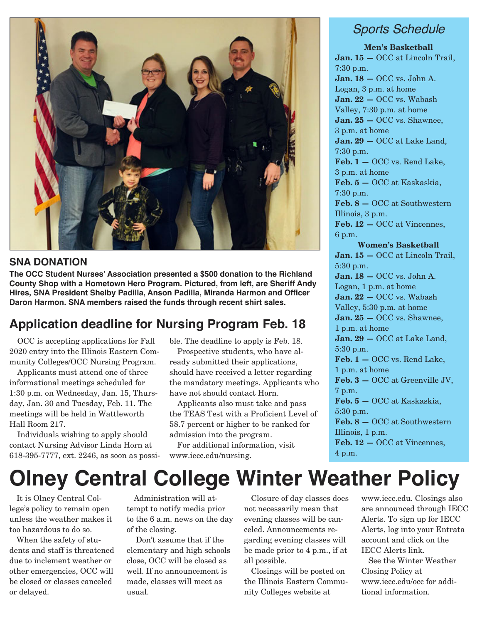

### **SNA DONATION**

**The OCC Student Nurses' Association presented a \$500 donation to the Richland County Shop with a Hometown Hero Program. Pictured, from left, are Sheriff Andy Hires, SNA President Shelby Padilla, Anson Padilla, Miranda Harmon and Officer Daron Harmon. SNA members raised the funds through recent shirt sales.**

### **Application deadline for Nursing Program Feb. 18**

OCC is accepting applications for Fall 2020 entry into the Illinois Eastern Community Colleges/OCC Nursing Program.

Applicants must attend one of three informational meetings scheduled for 1:30 p.m. on Wednesday, Jan. 15, Thursday, Jan. 30 and Tuesday, Feb. 11. The meetings will be held in Wattleworth Hall Room 217.

Individuals wishing to apply should contact Nursing Advisor Linda Horn at 618-395-7777, ext. 2246, as soon as possible. The deadline to apply is Feb. 18.

Prospective students, who have already submitted their applications, should have received a letter regarding the mandatory meetings. Applicants who have not should contact Horn.

Applicants also must take and pass the TEAS Test with a Proficient Level of 58.7 percent or higher to be ranked for admission into the program.

For additional information, visit www.iecc.edu/nursing.

### *Sports Schedule*

**Men's Basketball Jan. 15 —** OCC at Lincoln Trail, 7:30 p.m. **Jan. 18 —** OCC vs. John A. Logan, 3 p.m. at home **Jan. 22 —** OCC vs. Wabash Valley, 7:30 p.m. at home **Jan. 25 —** OCC vs. Shawnee, 3 p.m. at home **Jan. 29 —** OCC at Lake Land, 7:30 p.m. **Feb. 1 —** OCC vs. Rend Lake, 3 p.m. at home **Feb. 5 —** OCC at Kaskaskia, 7:30 p.m. **Feb. 8 —** OCC at Southwestern Illinois, 3 p.m. **Feb. 12 —** OCC at Vincennes, 6 p.m. **Women's Basketball Jan. 15 —** OCC at Lincoln Trail, 5:30 p.m. **Jan. 18 —** OCC vs. John A. Logan, 1 p.m. at home **Jan. 22 —** OCC vs. Wabash Valley, 5:30 p.m. at home **Jan. 25 —** OCC vs. Shawnee, 1 p.m. at home **Jan. 29 —** OCC at Lake Land, 5:30 p.m. **Feb. 1 —** OCC vs. Rend Lake, 1 p.m. at home **Feb. 3 —** OCC at Greenville JV, 7 p.m. **Feb. 5 —** OCC at Kaskaskia, 5:30 p.m. **Feb. 8 —** OCC at Southwestern Illinois, 1 p.m. **Feb. 12 —** OCC at Vincennes, 4 p.m.

# **Olney Central College Winter Weather Policy**

It is Olney Central College's policy to remain open unless the weather makes it too hazardous to do so.

When the safety of students and staff is threatened due to inclement weather or other emergencies, OCC will be closed or classes canceled or delayed.

Administration will attempt to notify media prior to the 6 a.m. news on the day of the closing.

Don't assume that if the elementary and high schools close, OCC will be closed as well. If no announcement is made, classes will meet as usual.

Closure of day classes does not necessarily mean that evening classes will be canceled. Announcements regarding evening classes will be made prior to 4 p.m., if at all possible.

Closings will be posted on the Illinois Eastern Community Colleges website at

www.iecc.edu. Closings also are announced through IECC Alerts. To sign up for IECC Alerts, log into your Entrata account and click on the IECC Alerts link.

See the Winter Weather Closing Policy at www.iecc.edu/occ for additional information.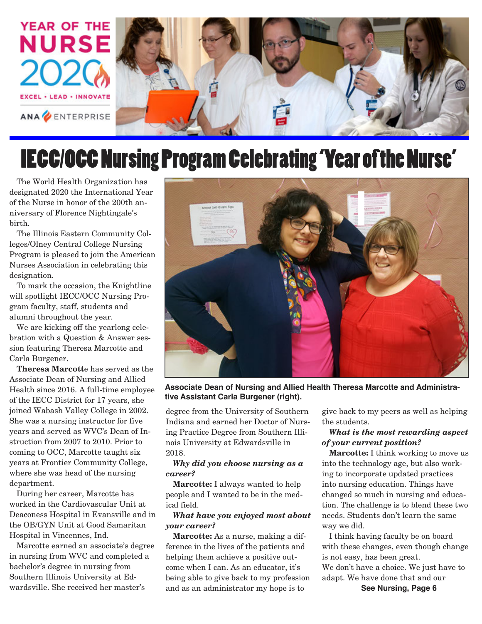

# IECC/OCC Nursing Program Celebrating 'Year of the Nurse'

The World Health Organization has designated 2020 the International Year of the Nurse in honor of the 200th anniversary of Florence Nightingale's birth.

The Illinois Eastern Community Colleges/Olney Central College Nursing Program is pleased to join the American Nurses Association in celebrating this designation.

To mark the occasion, the Knightline will spotlight IECC/OCC Nursing Program faculty, staff, students and alumni throughout the year.

We are kicking off the yearlong celebration with a Question & Answer session featuring Theresa Marcotte and Carla Burgener.

**Theresa Marcott**e has served as the Associate Dean of Nursing and Allied Health since 2016. A full-time employee of the IECC District for 17 years, she joined Wabash Valley College in 2002. She was a nursing instructor for five years and served as WVC's Dean of Instruction from 2007 to 2010. Prior to coming to OCC, Marcotte taught six years at Frontier Community College, where she was head of the nursing department.

During her career, Marcotte has worked in the Cardiovascular Unit at Deaconess Hospital in Evansville and in the OB/GYN Unit at Good Samaritan Hospital in Vincennes, Ind.

Marcotte earned an associate's degree in nursing from WVC and completed a bachelor's degree in nursing from Southern Illinois University at Edwardsville. She received her master's



**Associate Dean of Nursing and Allied Health Theresa Marcotte and Administrative Assistant Carla Burgener (right).** 

degree from the University of Southern Indiana and earned her Doctor of Nursing Practice Degree from Southern Illinois University at Edwardsville in 2018.

### *Why did you choose nursing as a career?*

**Marcotte:** I always wanted to help people and I wanted to be in the medical field.

### *What have you enjoyed most about your career?*

**Marcotte:** As a nurse, making a difference in the lives of the patients and helping them achieve a positive outcome when I can. As an educator, it's being able to give back to my profession and as an administrator my hope is to

give back to my peers as well as helping the students.

### *What is the most rewarding aspect of your current position?*

**Marcotte:** I think working to move us into the technology age, but also working to incorporate updated practices into nursing education. Things have changed so much in nursing and education. The challenge is to blend these two needs. Students don't learn the same way we did.

I think having faculty be on board with these changes, even though change is not easy, has been great. We don't have a choice. We just have to adapt. We have done that and our

**See Nursing, Page 6**